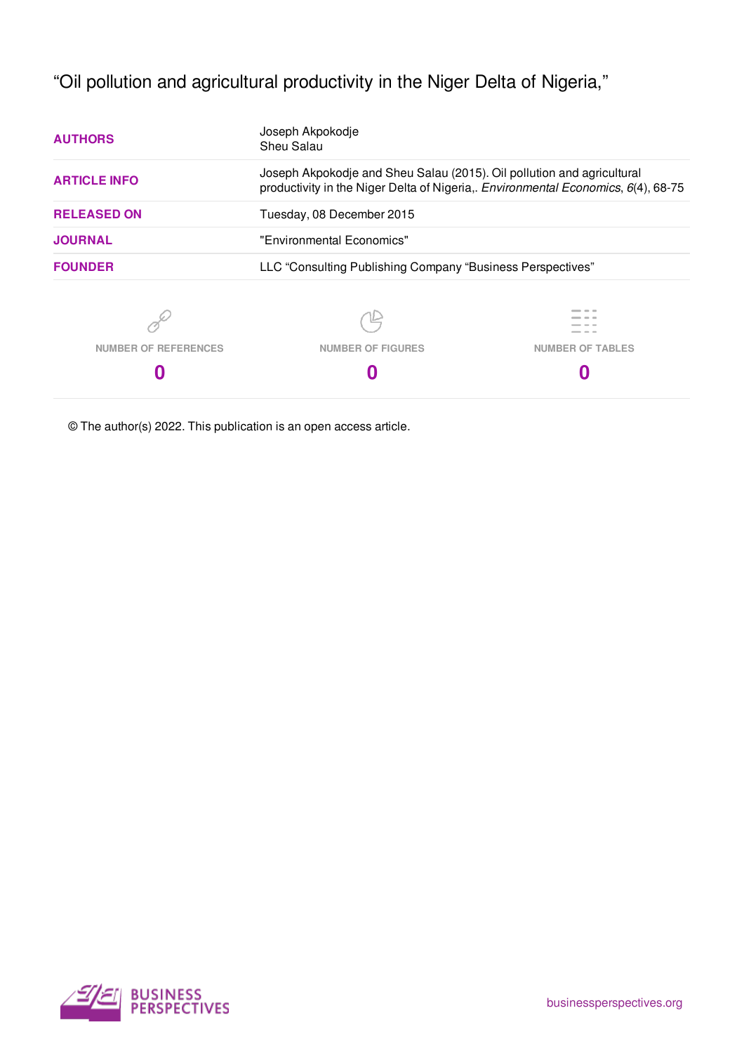"Oil pollution and agricultural productivity in the Niger Delta of Nigeria,"

| <b>AUTHORS</b>              | Joseph Akpokodje<br>Sheu Salau                                                                                                                              |                         |  |  |  |
|-----------------------------|-------------------------------------------------------------------------------------------------------------------------------------------------------------|-------------------------|--|--|--|
| <b>ARTICLE INFO</b>         | Joseph Akpokodje and Sheu Salau (2015). Oil pollution and agricultural<br>productivity in the Niger Delta of Nigeria,. Environmental Economics, 6(4), 68-75 |                         |  |  |  |
| <b>RELEASED ON</b>          | Tuesday, 08 December 2015                                                                                                                                   |                         |  |  |  |
| <b>JOURNAL</b>              | "Environmental Economics"                                                                                                                                   |                         |  |  |  |
| <b>FOUNDER</b>              | LLC "Consulting Publishing Company "Business Perspectives"                                                                                                  |                         |  |  |  |
|                             |                                                                                                                                                             |                         |  |  |  |
| <b>NUMBER OF REFERENCES</b> | <b>NUMBER OF FIGURES</b>                                                                                                                                    | <b>NUMBER OF TABLES</b> |  |  |  |
|                             |                                                                                                                                                             |                         |  |  |  |

© The author(s) 2022. This publication is an open access article.

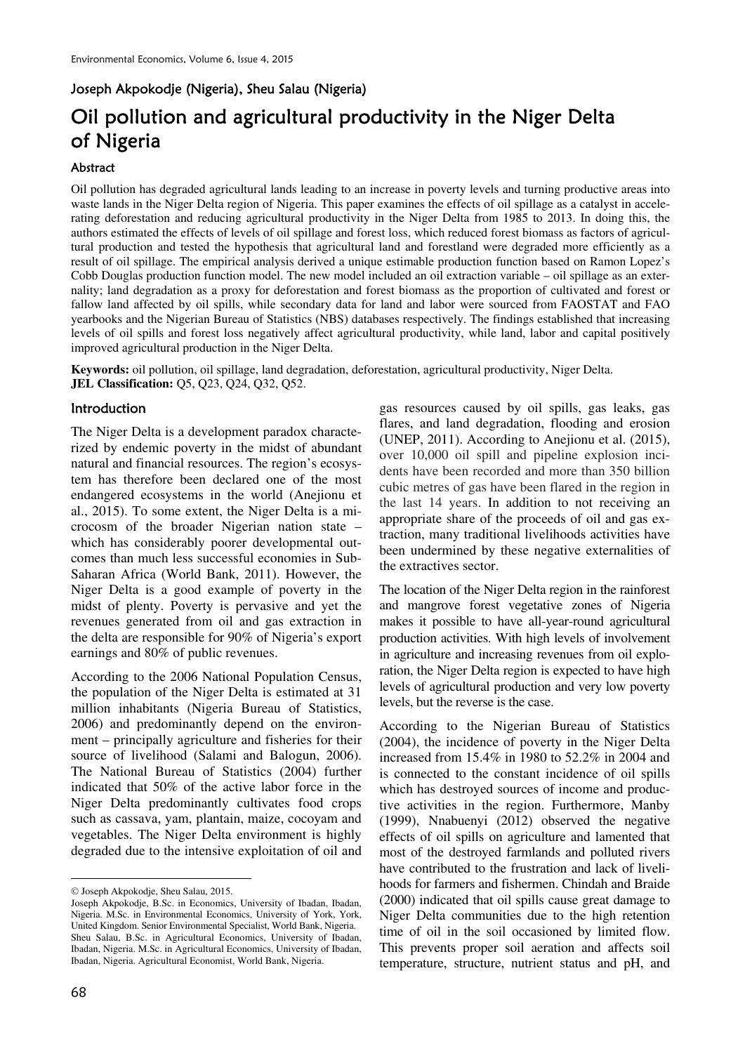# Joseph Akpokodje (Nigeria), Sheu Salau (Nigeria)

# Oil pollution and agricultural productivity in the Niger Delta of Nigeria

#### Abstract

Oil pollution has degraded agricultural lands leading to an increase in poverty levels and turning productive areas into waste lands in the Niger Delta region of Nigeria. This paper examines the effects of oil spillage as a catalyst in accelerating deforestation and reducing agricultural productivity in the Niger Delta from 1985 to 2013. In doing this, the authors estimated the effects of levels of oil spillage and forest loss, which reduced forest biomass as factors of agricultural production and tested the hypothesis that agricultural land and forestland were degraded more efficiently as a result of oil spillage. The empirical analysis derived a unique estimable production function based on Ramon Lopez's Cobb Douglas production function model. The new model included an oil extraction variable – oil spillage as an externality; land degradation as a proxy for deforestation and forest biomass as the proportion of cultivated and forest or fallow land affected by oil spills, while secondary data for land and labor were sourced from FAOSTAT and FAO yearbooks and the Nigerian Bureau of Statistics (NBS) databases respectively. The findings established that increasing levels of oil spills and forest loss negatively affect agricultural productivity, while land, labor and capital positively improved agricultural production in the Niger Delta.

**Keywords:** oil pollution, oil spillage, land degradation, deforestation, agricultural productivity, Niger Delta. **JEL Classification:** Q5, Q23, Q24, Q32, Q52.

## **Introduction**

The Niger Delta is a development paradox characterized by endemic poverty in the midst of abundant natural and financial resources. The region's ecosystem has therefore been declared one of the most endangered ecosystems in the world (Anejionu et al., 2015). To some extent, the Niger Delta is a microcosm of the broader Nigerian nation state – which has considerably poorer developmental outcomes than much less successful economies in Sub-Saharan Africa (World Bank, 2011). However, the Niger Delta is a good example of poverty in the midst of plenty. Poverty is pervasive and yet the revenues generated from oil and gas extraction in the delta are responsible for 90% of Nigeria's export earnings and 80% of public revenues.

According to the 2006 National Population Census, the population of the Niger Delta is estimated at 31 million inhabitants (Nigeria Bureau of Statistics, 2006) and predominantly depend on the environment – principally agriculture and fisheries for their source of livelihood (Salami and Balogun, 2006). The National Bureau of Statistics (2004) further indicated that 50% of the active labor force in the Niger Delta predominantly cultivates food crops such as cassava, yam, plantain, maize, cocoyam and vegetables. The Niger Delta environment is highly degraded due to the intensive exploitation of oil and

 $\overline{a}$ 

gas resources caused by oil spills, gas leaks, gas flares, and land degradation, flooding and erosion (UNEP, 2011). According to Anejionu et al. (2015), over 10,000 oil spill and pipeline explosion incidents have been recorded and more than 350 billion cubic metres of gas have been flared in the region in the last 14 years. In addition to not receiving an appropriate share of the proceeds of oil and gas extraction, many traditional livelihoods activities have been undermined by these negative externalities of the extractives sector.

The location of the Niger Delta region in the rainforest and mangrove forest vegetative zones of Nigeria makes it possible to have all-year-round agricultural production activities. With high levels of involvement in agriculture and increasing revenues from oil exploration, the Niger Delta region is expected to have high levels of agricultural production and very low poverty levels, but the reverse is the case.

According to the Nigerian Bureau of Statistics (2004), the incidence of poverty in the Niger Delta increased from 15.4% in 1980 to 52.2% in 2004 and is connected to the constant incidence of oil spills which has destroyed sources of income and productive activities in the region. Furthermore, Manby (1999), Nnabuenyi (2012) observed the negative effects of oil spills on agriculture and lamented that most of the destroyed farmlands and polluted rivers have contributed to the frustration and lack of livelihoods for farmers and fishermen. Chindah and Braide (2000) indicated that oil spills cause great damage to Niger Delta communities due to the high retention time of oil in the soil occasioned by limited flow. This prevents proper soil aeration and affects soil temperature, structure, nutrient status and pH, and

<sup>©</sup> Joseph Akpokodje, Sheu Salau, 2015.

Joseph Akpokodje, B.Sc. in Economics, University of Ibadan, Ibadan, Nigeria. M.Sc. in Environmental Economics, University of York, York, United Kingdom. Senior Environmental Specialist, World Bank, Nigeria. Sheu Salau, B.Sc. in Agricultural Economics, University of Ibadan, Ibadan, Nigeria. M.Sc. in Agricultural Economics, University of Ibadan, Ibadan, Nigeria. Agricultural Economist, World Bank, Nigeria.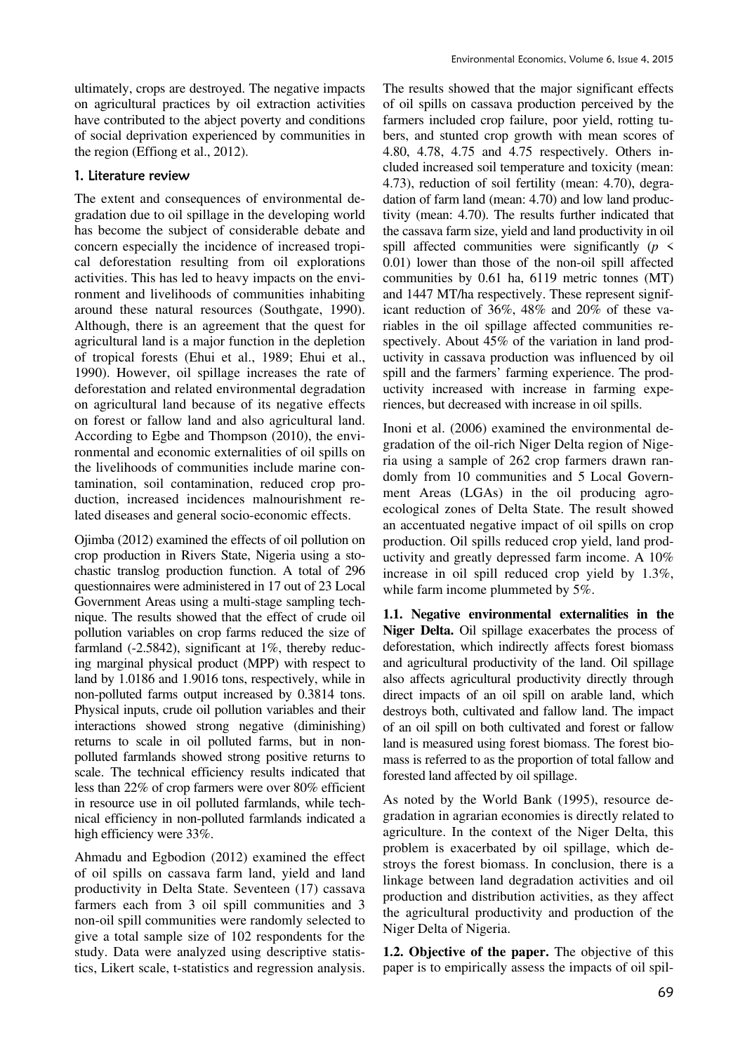ultimately, crops are destroyed. The negative impacts on agricultural practices by oil extraction activities have contributed to the abject poverty and conditions of social deprivation experienced by communities in the region (Effiong et al., 2012).

## 1. Literature review

The extent and consequences of environmental degradation due to oil spillage in the developing world has become the subject of considerable debate and concern especially the incidence of increased tropical deforestation resulting from oil explorations activities. This has led to heavy impacts on the environment and livelihoods of communities inhabiting around these natural resources (Southgate, 1990). Although, there is an agreement that the quest for agricultural land is a major function in the depletion of tropical forests (Ehui et al., 1989; Ehui et al., 1990). However, oil spillage increases the rate of deforestation and related environmental degradation on agricultural land because of its negative effects on forest or fallow land and also agricultural land. According to Egbe and Thompson (2010), the environmental and economic externalities of oil spills on the livelihoods of communities include marine contamination, soil contamination, reduced crop production, increased incidences malnourishment related diseases and general socio-economic effects.

Ojimba (2012) examined the effects of oil pollution on crop production in Rivers State, Nigeria using a stochastic translog production function. A total of 296 questionnaires were administered in 17 out of 23 Local Government Areas using a multi-stage sampling technique. The results showed that the effect of crude oil pollution variables on crop farms reduced the size of farmland (-2.5842), significant at 1%, thereby reducing marginal physical product (MPP) with respect to land by 1.0186 and 1.9016 tons, respectively, while in non-polluted farms output increased by 0.3814 tons. Physical inputs, crude oil pollution variables and their interactions showed strong negative (diminishing) returns to scale in oil polluted farms, but in nonpolluted farmlands showed strong positive returns to scale. The technical efficiency results indicated that less than 22% of crop farmers were over 80% efficient in resource use in oil polluted farmlands, while technical efficiency in non-polluted farmlands indicated a high efficiency were 33%.

Ahmadu and Egbodion (2012) examined the effect of oil spills on cassava farm land, yield and land productivity in Delta State. Seventeen (17) cassava farmers each from 3 oil spill communities and 3 non-oil spill communities were randomly selected to give a total sample size of 102 respondents for the study. Data were analyzed using descriptive statistics, Likert scale, t-statistics and regression analysis.

The results showed that the major significant effects of oil spills on cassava production perceived by the farmers included crop failure, poor yield, rotting tubers, and stunted crop growth with mean scores of 4.80, 4.78, 4.75 and 4.75 respectively. Others included increased soil temperature and toxicity (mean: 4.73), reduction of soil fertility (mean: 4.70), degradation of farm land (mean: 4.70) and low land productivity (mean: 4.70). The results further indicated that the cassava farm size, yield and land productivity in oil spill affected communities were significantly  $(p \leq$ 0.01) lower than those of the non-oil spill affected communities by 0.61 ha, 6119 metric tonnes (MT) and 1447 MT/ha respectively. These represent significant reduction of 36%, 48% and 20% of these variables in the oil spillage affected communities respectively. About 45% of the variation in land productivity in cassava production was influenced by oil spill and the farmers' farming experience. The productivity increased with increase in farming experiences, but decreased with increase in oil spills.

Inoni et al. (2006) examined the environmental degradation of the oil-rich Niger Delta region of Nigeria using a sample of 262 crop farmers drawn randomly from 10 communities and 5 Local Government Areas (LGAs) in the oil producing agroecological zones of Delta State. The result showed an accentuated negative impact of oil spills on crop production. Oil spills reduced crop yield, land productivity and greatly depressed farm income. A 10% increase in oil spill reduced crop yield by 1.3%, while farm income plummeted by 5%.

**1.1. Negative environmental externalities in the Niger Delta.** Oil spillage exacerbates the process of deforestation, which indirectly affects forest biomass and agricultural productivity of the land. Oil spillage also affects agricultural productivity directly through direct impacts of an oil spill on arable land, which destroys both, cultivated and fallow land. The impact of an oil spill on both cultivated and forest or fallow land is measured using forest biomass. The forest biomass is referred to as the proportion of total fallow and forested land affected by oil spillage.

As noted by the World Bank (1995), resource degradation in agrarian economies is directly related to agriculture. In the context of the Niger Delta, this problem is exacerbated by oil spillage, which destroys the forest biomass. In conclusion, there is a linkage between land degradation activities and oil production and distribution activities, as they affect the agricultural productivity and production of the Niger Delta of Nigeria.

**1.2. Objective of the paper.** The objective of this paper is to empirically assess the impacts of oil spil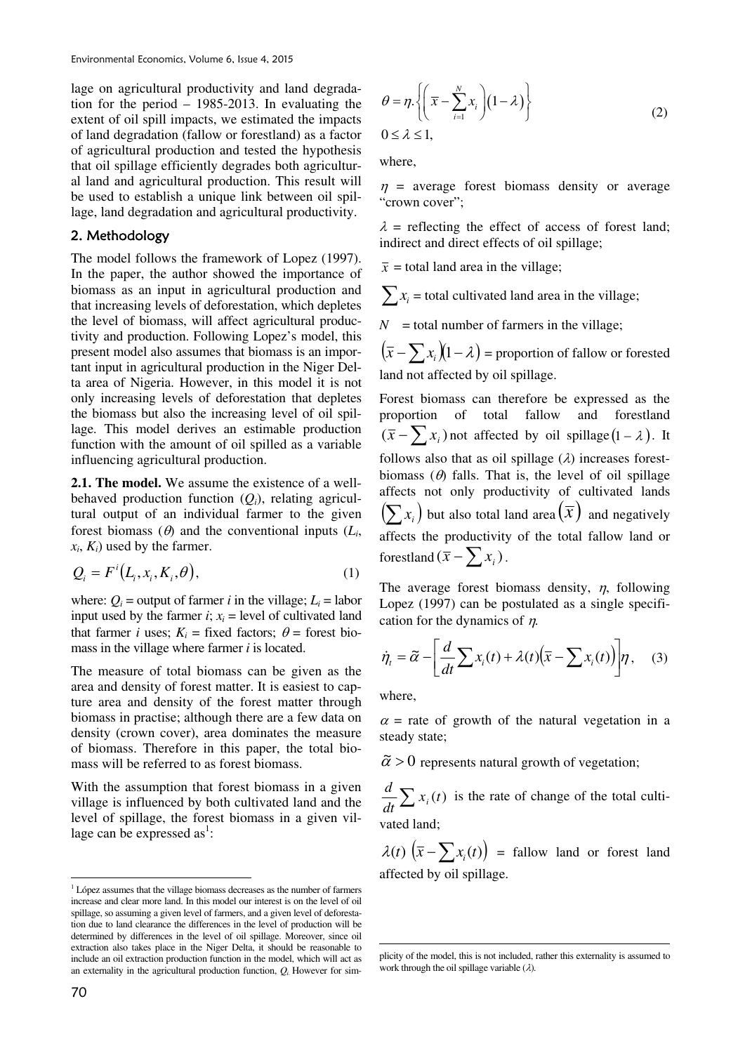lage on agricultural productivity and land degradation for the period – 1985-2013. In evaluating the extent of oil spill impacts, we estimated the impacts of land degradation (fallow or forestland) as a factor of agricultural production and tested the hypothesis that oil spillage efficiently degrades both agricultural land and agricultural production. This result will be used to establish a unique link between oil spillage, land degradation and agricultural productivity.

#### 2. Methodology

The model follows the framework of Lopez (1997). In the paper, the author showed the importance of biomass as an input in agricultural production and that increasing levels of deforestation, which depletes the level of biomass, will affect agricultural productivity and production. Following Lopez's model, this present model also assumes that biomass is an important input in agricultural production in the Niger Delta area of Nigeria. However, in this model it is not only increasing levels of deforestation that depletes the biomass but also the increasing level of oil spillage. This model derives an estimable production function with the amount of oil spilled as a variable influencing agricultural production.

**2.1. The model.** We assume the existence of a wellbehaved production function  $(Q_i)$ , relating agricultural output of an individual farmer to the given forest biomass  $(\theta)$  and the conventional inputs  $(L_i)$ ,  $x_i$ ,  $K_i$ ) used by the farmer.

$$
Q_i = F^i(L_i, x_i, K_i, \theta), \tag{1}
$$

where:  $Q_i$  = output of farmer *i* in the village;  $L_i$  = labor input used by the farmer  $i$ ;  $x_i$  = level of cultivated land that farmer *i* uses;  $K_i$  = fixed factors;  $\theta$  = forest biomass in the village where farmer *i* is located.

The measure of total biomass can be given as the area and density of forest matter. It is easiest to capture area and density of the forest matter through biomass in practise; although there are a few data on density (crown cover), area dominates the measure of biomass. Therefore in this paper, the total biomass will be referred to as forest biomass.

With the assumption that forest biomass in a given village is influenced by both cultivated land and the level of spillage, the forest biomass in a given village can be expressed as<sup>1</sup>:

$$
\theta = \eta \cdot \left\{ \left( \overline{x} - \sum_{i=1}^{N} x_i \right) (1 - \lambda) \right\}
$$
  
0 \le \lambda \le 1, (2)

where,

 $n =$  average forest biomass density or average "crown cover";

 $\lambda$  = reflecting the effect of access of forest land; indirect and direct effects of oil spillage;

 $\bar{x}$  = total land area in the village;

 $\sum x_i$  = total cultivated land area in the village;

 $N =$  total number of farmers in the village;

 $(\bar{x} - \sum x_i)(1 - \lambda)$  = proportion of fallow or forested land not affected by oil spillage.

Forest biomass can therefore be expressed as the proportion of total fallow and forestland  $(\bar{x} - \sum x_i)$  not affected by oil spillage  $(1 - \lambda)$ . It follows also that as oil spillage  $(\lambda)$  increases forestbiomass  $(\theta)$  falls. That is, the level of oil spillage affects not only productivity of cultivated lands  $(\sum x_i)$  but also total land area  $(\overline{x})$  and negatively affects the productivity of the total fallow land or forestland  $(\bar{x} - \sum x_i)$ .

The average forest biomass density,  $\eta$ , following Lopez (1997) can be postulated as a single specification for the dynamics of η*.*

$$
\dot{\eta}_i = \tilde{\alpha} - \left[ \frac{d}{dt} \sum x_i(t) + \lambda(t) \left( \overline{x} - \sum x_i(t) \right) \right] \eta, \quad (3)
$$

where,

**.** 

 $\alpha$  = rate of growth of the natural vegetation in a steady state;

 $\tilde{\alpha} > 0$  represents natural growth of vegetation;

 $\frac{d}{dt} \sum x_i(t)$ *d*  $i<sub>i</sub>(t)$  is the rate of change of the total cultivated land;

 $\lambda(t)$   $(\bar{x} - \sum x_i(t))$  = fallow land or forest land affected by oil spillage.

 $\overline{a}$ <sup>1</sup> López assumes that the village biomass decreases as the number of farmers increase and clear more land. In this model our interest is on the level of oil spillage, so assuming a given level of farmers, and a given level of deforestation due to land clearance the differences in the level of production will be determined by differences in the level of oil spillage. Moreover, since oil extraction also takes place in the Niger Delta, it should be reasonable to include an oil extraction production function in the model, which will act as an externality in the agricultural production function,  $Q_i$ . However for sim-

plicity of the model, this is not included, rather this externality is assumed to work through the oil spillage variable (λ)*.*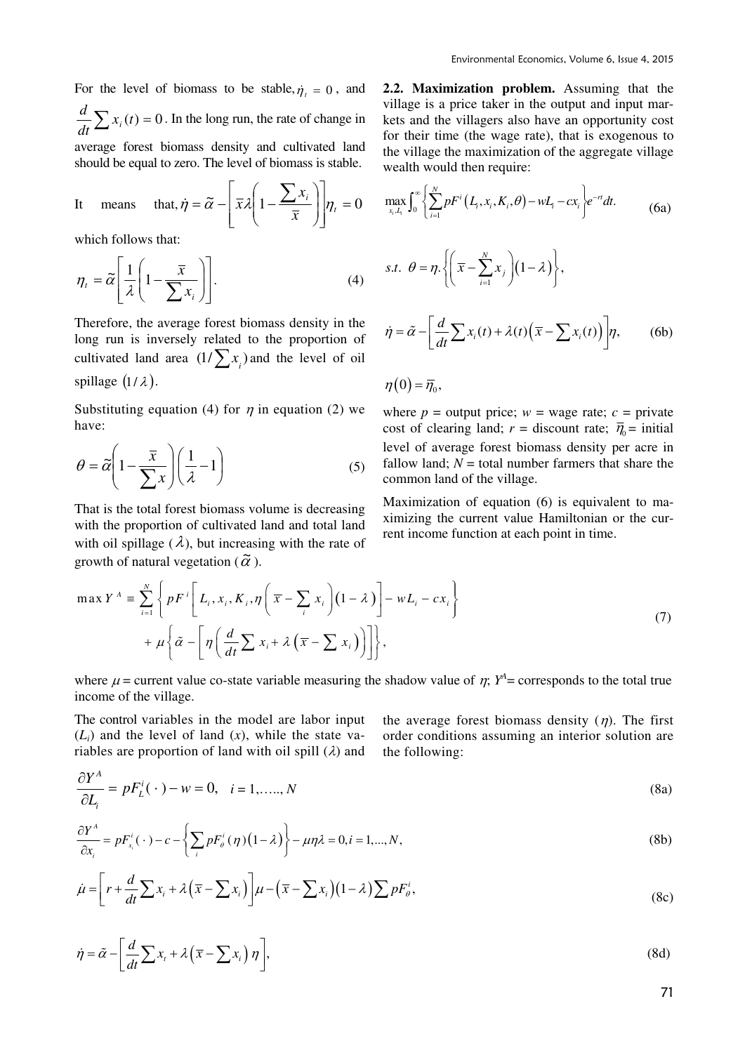For the level of biomass to be stable,  $\dot{\eta}_t = 0$ , and  $\frac{d}{dt}\sum x_i(t) = 0$ *d*  $i(t) = 0$ . In the long run, the rate of change in

average forest biomass density and cultivated land should be equal to zero. The level of biomass is stable.

It means that, 
$$
\dot{\eta} = \tilde{\alpha} - \left[ \bar{x} \lambda \left( 1 - \frac{\sum x_i}{\bar{x}} \right) \right] \eta_t = 0
$$

which follows that:

$$
\eta_{t} = \widetilde{\alpha} \left[ \frac{1}{\lambda} \left( 1 - \frac{\overline{x}}{\sum x_{i}} \right) \right]. \tag{4}
$$

Therefore, the average forest biomass density in the long run is inversely related to the proportion of cultivated land area  $(1/\sum x_i)$  and the level of oil spillage  $(1/\lambda)$ .

Substituting equation (4) for  $\eta$  in equation (2) we have:

$$
\theta = \tilde{\alpha} \left( 1 - \frac{\bar{x}}{\sum x} \right) \left( \frac{1}{\lambda} - 1 \right) \tag{5}
$$

That is the total forest biomass volume is decreasing with the proportion of cultivated land and total land with oil spillage  $(\lambda)$ , but increasing with the rate of growth of natural vegetation ( $\tilde{\alpha}$ ).

**2.2. Maximization problem.** Assuming that the village is a price taker in the output and input markets and the villagers also have an opportunity cost for their time (the wage rate), that is exogenous to the village the maximization of the aggregate village wealth would then require:

$$
\max_{x_i, L_i} \int_0^\infty \left\{ \sum_{i=1}^N pF^i \left( L_i, x_i, K_i, \theta \right) - wL_i - cx_i \right\} e^{-rt} dt. \tag{6a}
$$
\n
$$
s.t. \ \theta = \eta \cdot \left\{ \left( \overline{x} - \sum_{i=1}^N x_i \right) \left( 1 - \lambda \right) \right\},
$$

$$
\dot{\eta} = \tilde{\alpha} - \left[ \frac{d}{dt} \sum x_i(t) + \lambda(t) \left( \overline{x} - \sum x_i(t) \right) \right] \eta, \qquad (6b)
$$

$$
\eta(0) = \overline{\eta}_0,
$$

where  $p =$  output price;  $w =$  wage rate;  $c =$  private cost of clearing land;  $r =$  discount rate;  $\bar{\eta}_0 =$  initial level of average forest biomass density per acre in fallow land;  $N =$  total number farmers that share the common land of the village.

Maximization of equation (6) is equivalent to maximizing the current value Hamiltonian or the current income function at each point in time.

$$
\max Y^{A} = \sum_{i=1}^{N} \left\{ p F^{i} \left[ L_{i}, x_{i}, K_{i}, \eta \left( \overline{x} - \sum_{i} x_{i} \right) (1 - \lambda) \right] - w L_{i} - c x_{i} \right\} + \mu \left\{ \tilde{\alpha} - \left[ \eta \left( \frac{d}{dt} \sum_{i} x_{i} + \lambda \left( \overline{x} - \sum_{i} x_{i} \right) \right) \right] \right\}, \tag{7}
$$

where  $\mu$  = current value co-state variable measuring the shadow value of  $\eta$ ;  $Y^4$  = corresponds to the total true income of the village.

The control variables in the model are labor input  $(L_i)$  and the level of land  $(x)$ , while the state variables are proportion of land with oil spill  $(\lambda)$  and

the average forest biomass density  $(n)$ . The first order conditions assuming an interior solution are the following:

$$
\frac{\partial Y^A}{\partial L_i} = pF_L^i(\cdot) - w = 0, \quad i = 1, \dots, N
$$
\n(8a)

$$
\frac{\partial Y^A}{\partial x_i} = pF_{x_i}^i(\cdot) - c - \left\{ \sum_i pF_{\theta}^i(\eta) (1 - \lambda) \right\} - \mu \eta \lambda = 0, i = 1, ..., N,
$$
\n(8b)

$$
\dot{\mu} = \left[r + \frac{d}{dt} \sum x_i + \lambda \left(\overline{x} - \sum x_i\right)\right] \mu - \left(\overline{x} - \sum x_i\right) \left(1 - \lambda\right) \sum p F_\theta^i,
$$
\n(8c)

$$
\dot{\eta} = \tilde{\alpha} - \left[ \frac{d}{dt} \sum x_i + \lambda \left( \overline{x} - \sum x_i \right) \eta \right],\tag{8d}
$$

71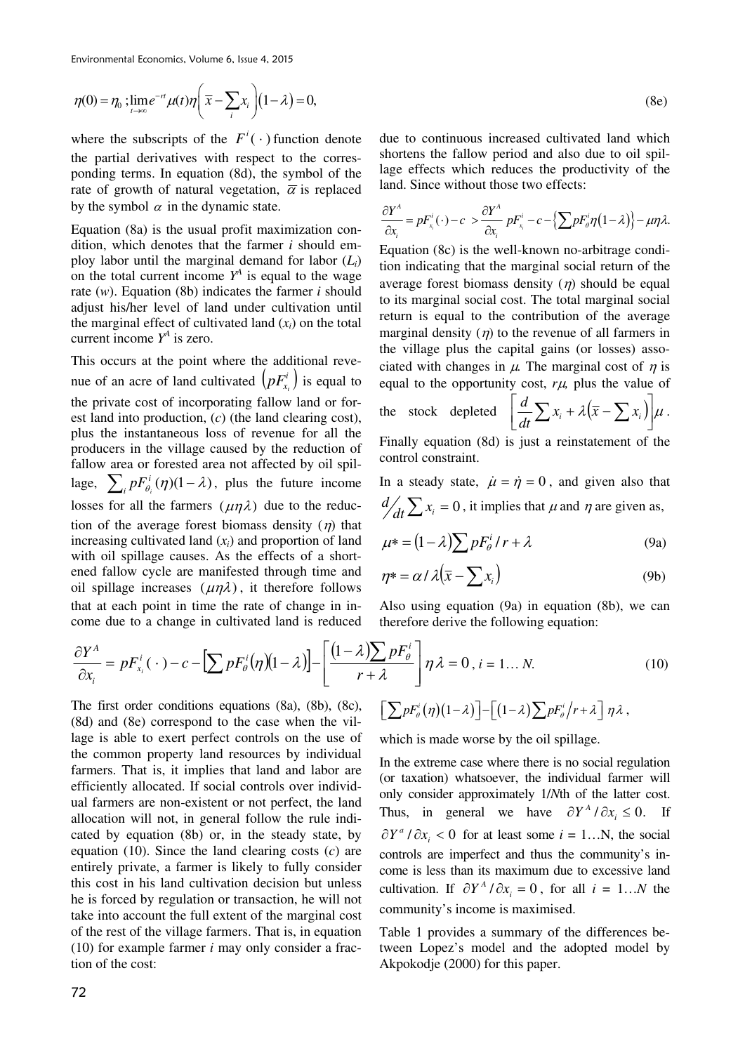$$
\eta(0) = \eta_0 ; \lim_{t \to \infty} e^{-rt} \mu(t) \eta \bigg( \overline{x} - \sum_i x_i \bigg) (1 - \lambda) = 0,
$$

where the subscripts of the  $F^i(\cdot)$  function denote the partial derivatives with respect to the corresponding terms. In equation (8d), the symbol of the rate of growth of natural vegetation,  $\overline{\alpha}$  is replaced by the symbol  $\alpha$  in the dynamic state.

Equation (8a) is the usual profit maximization condition, which denotes that the farmer *i* should employ labor until the marginal demand for labor  $(L_i)$ on the total current income  $Y^A$  is equal to the wage rate (*w*). Equation (8b) indicates the farmer *i* should adjust his/her level of land under cultivation until the marginal effect of cultivated land  $(x_i)$  on the total current income  $Y^A$  is zero.

This occurs at the point where the additional revenue of an acre of land cultivated  $(pF_x^i)$  $pF_{x_i}^i$ ) is equal to the private cost of incorporating fallow land or forest land into production, (*c*) (the land clearing cost), plus the instantaneous loss of revenue for all the producers in the village caused by the reduction of fallow area or forested area not affected by oil spillage,  $\sum_{i} p F_{\theta_i}^{i}(\eta) (1 - \lambda)$ *i*  $pF_{\theta_i}^i(\eta)(1-\lambda)$ , plus the future income losses for all the farmers  $(\mu \eta \lambda)$  due to the reduction of the average forest biomass density  $(\eta)$  that increasing cultivated land  $(x_i)$  and proportion of land with oil spillage causes. As the effects of a shortened fallow cycle are manifested through time and oil spillage increases  $(\mu \eta \lambda)$ , it therefore follows that at each point in time the rate of change in income due to a change in cultivated land is reduced

due to continuous increased cultivated land which shortens the fallow period and also due to oil spillage effects which reduces the productivity of the land. Since without those two effects:

$$
\frac{\partial Y^A}{\partial x_i} = pF_{x_i}^i(\cdot) - c > \frac{\partial Y^A}{\partial x_i} pF_{x_i}^i - c - \left\{ \sum pF_{\theta}^i \eta (1 - \lambda) \right\} - \mu \eta \lambda.
$$

Equation (8c) is the well-known no-arbitrage condition indicating that the marginal social return of the average forest biomass density  $(n)$  should be equal to its marginal social cost. The total marginal social return is equal to the contribution of the average marginal density  $(\eta)$  to the revenue of all farmers in the village plus the capital gains (or losses) associated with changes in  $\mu$ . The marginal cost of  $\eta$  is equal to the opportunity cost,  $r\mu$ , plus the value of

the stock depleted 
$$
\left[ \frac{d}{dt} \sum x_i + \lambda (\overline{x} - \sum x_i) \right] \mu
$$

$$
\left[\frac{d}{dt}\sum x_i + \lambda(\overline{x} - \sum x_i)\right]\mu.
$$

(8e)

Finally equation (8d) is just a reinstatement of the control constraint.

In a steady state,  $\dot{\mu} = \dot{\eta} = 0$ , and given also that  $d/dt \sum x_i = 0$ , it implies that  $\mu$  and  $\eta$  are given as,

$$
\mu^* = (1 - \lambda) \sum p F_\theta^i / r + \lambda \tag{9a}
$$

$$
\eta^* = \alpha / \lambda \big(\overline{x} - \sum x_i\big) \tag{9b}
$$

Also using equation (9a) in equation (8b), we can therefore derive the following equation:

$$
\frac{\partial Y^A}{\partial x_i} = pF_{x_i}^i(\cdot) - c - \left[\sum pF_{\theta}^i(\eta)(1-\lambda)\right] - \left[\frac{(1-\lambda)\sum pF_{\theta}^i}{r+\lambda}\right]\eta\lambda = 0, i = 1...N.
$$
\n(10)

The first order conditions equations (8a), (8b), (8c), (8d) and (8e) correspond to the case when the village is able to exert perfect controls on the use of the common property land resources by individual farmers. That is, it implies that land and labor are efficiently allocated. If social controls over individual farmers are non-existent or not perfect, the land allocation will not, in general follow the rule indicated by equation (8b) or, in the steady state, by equation (10). Since the land clearing costs (*c*) are entirely private, a farmer is likely to fully consider this cost in his land cultivation decision but unless he is forced by regulation or transaction, he will not take into account the full extent of the marginal cost of the rest of the village farmers. That is, in equation (10) for example farmer *i* may only consider a fraction of the cost:

$$
\left[\sum p F_{\theta}^{i}(\eta)(1-\lambda)\right]-\left[(1-\lambda)\sum p F_{\theta}^{i}/r+\lambda\right]\eta\lambda,
$$

which is made worse by the oil spillage.

In the extreme case where there is no social regulation (or taxation) whatsoever, the individual farmer will only consider approximately 1/*N*th of the latter cost. Thus, in general we have  $\partial Y^A / \partial x_i \leq 0$ . If  $\partial Y^a / \partial x_i < 0$  for at least some  $i = 1...N$ , the social controls are imperfect and thus the community's income is less than its maximum due to excessive land cultivation. If  $\partial Y^A / \partial x_i = 0$ , for all  $i = 1...N$  the community's income is maximised.

Table 1 provides a summary of the differences between Lopez's model and the adopted model by Akpokodje (2000) for this paper.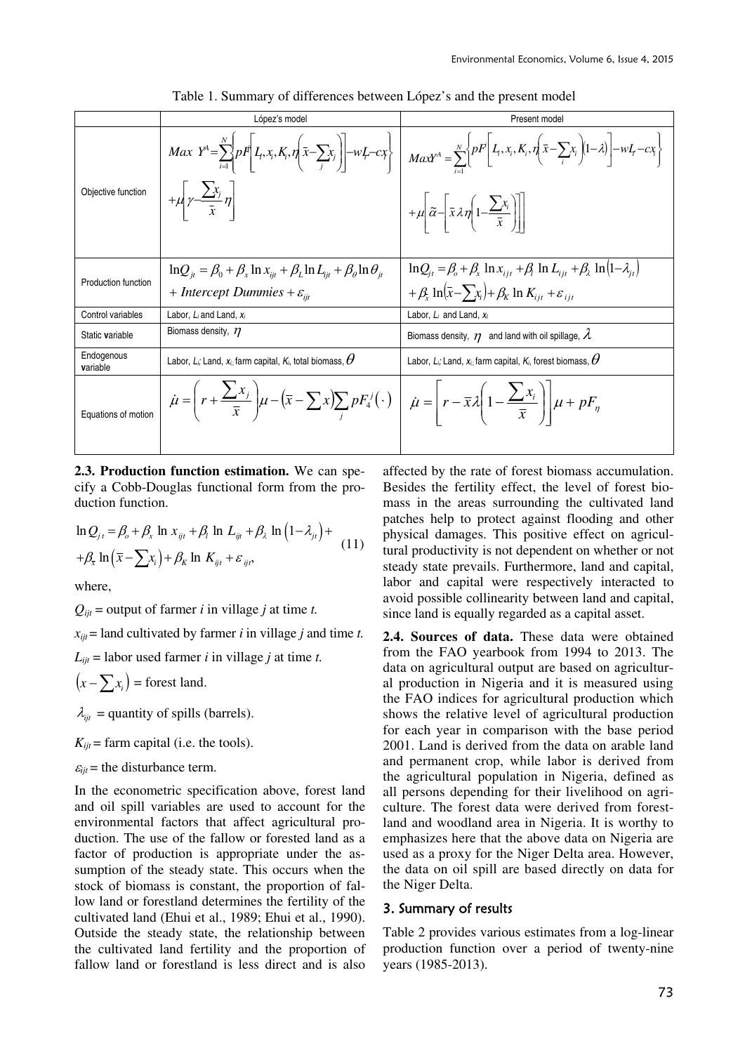|                        | López's model                                                                                                                                                                                                                       | Present model                                                                                                                                                                                                                                                                                                                     |  |
|------------------------|-------------------------------------------------------------------------------------------------------------------------------------------------------------------------------------------------------------------------------------|-----------------------------------------------------------------------------------------------------------------------------------------------------------------------------------------------------------------------------------------------------------------------------------------------------------------------------------|--|
|                        |                                                                                                                                                                                                                                     | $Max Y^A = \sum_{i=1}^N pF \left  I_i, x_i, K_i, \eta \left( \bar{x} - \sum_i x_j \right) \right  - wL - cx \left  \eta \left  \eta \left( \eta \right) - \eta \left( \eta \right) \right  \right  = \sum_{i=1}^N \left  PF \left[ L_i, x_i, K_i, \eta \left( \bar{x} - \sum_i x_i \right) (1-\lambda) \right] - wL - cx \right $ |  |
| Objective function     | $+\mu \left  \gamma \frac{\sum x_j}{\bar{x}} \eta \right $                                                                                                                                                                          | $+ \mu \left  \tilde{\alpha} - \frac{\overline{x}}{\overline{x}} \lambda \eta \left( 1 - \frac{\sum x_i}{\overline{x}} \right) \right $                                                                                                                                                                                           |  |
| Production function    | $\ln Q_{it} = \beta_0 + \beta_x \ln x_{it} + \beta_L \ln L_{it} + \beta_\theta \ln \theta_{it}$                                                                                                                                     | $\ln Q_i = \beta_0 + \beta_x \ln x_{i} + \beta_1 \ln L_{i} + \beta_2 \ln (1 - \lambda_{i}$                                                                                                                                                                                                                                        |  |
|                        | + Intercept Dummies + $\varepsilon_{ii}$                                                                                                                                                                                            | $+\beta_{\rm r} \ln(\bar{x}-\sum_{i}x_{i})+\beta_{\rm K} \ln K_{\rm int}+\varepsilon_{\rm int}$                                                                                                                                                                                                                                   |  |
| Control variables      | Labor, $L_i$ and Land, $x_i$                                                                                                                                                                                                        | Labor, $L_i$ and Land, $x_i$                                                                                                                                                                                                                                                                                                      |  |
| Static variable        | Biomass density, $n$                                                                                                                                                                                                                | Biomass density, $\eta$ and land with oil spillage, $\lambda$                                                                                                                                                                                                                                                                     |  |
| Endogenous<br>variable | Labor, L <sub>i</sub> ; Land, $x_{i,j}$ farm capital, $K_{i,j}$ total biomass, $\theta$                                                                                                                                             | Labor, L <sub>i</sub> ; Land, $x_{i,j}$ farm capital, $K_i$ , forest biomass, $\boldsymbol{\theta}$                                                                                                                                                                                                                               |  |
| Equations of motion    | $\dot{\mu} = \left(r + \frac{\sum x_j}{\bar{x}}\right)\mu - \left(\bar{x} - \sum x\right)\sum_j pF_4^j(\cdot)\right)\left[\dot{\mu} = \left[r - \bar{x}\lambda\left(1 - \frac{\sum x_i}{\bar{x}}\right)\right]\mu + pF_\eta\right]$ |                                                                                                                                                                                                                                                                                                                                   |  |
|                        |                                                                                                                                                                                                                                     |                                                                                                                                                                                                                                                                                                                                   |  |

Table 1. Summary of differences between López's and the present model

**2.3. Production function estimation.** We can specify a Cobb-Douglas functional form from the production function.

$$
\ln Q_{j\,t} = \beta_o + \beta_x \ln x_{ijt} + \beta_l \ln L_{ijt} + \beta_\lambda \ln (1 - \lambda_{ji}) +
$$
  
+ 
$$
\beta_{\bar{x}} \ln (\bar{x} - \sum x_i) + \beta_k \ln K_{ijt} + \varepsilon_{ijt},
$$
 (11)

where,

 $Q_{\text{int}}$  = output of farmer *i* in village *j* at time *t*.

 $x_{ijt}$  = land cultivated by farmer *i* in village *j* and time *t*.

 $L_{ii}$  = labor used farmer *i* in village *j* at time *t*.

 $(x - \sum x_i)$  = forest land.

 $\lambda_{\text{int}}$  = quantity of spills (barrels).

 $K_{ijt}$  = farm capital (i.e. the tools).

 $\varepsilon_{ii}$  = the disturbance term.

In the econometric specification above, forest land and oil spill variables are used to account for the environmental factors that affect agricultural production. The use of the fallow or forested land as a factor of production is appropriate under the assumption of the steady state. This occurs when the stock of biomass is constant, the proportion of fallow land or forestland determines the fertility of the cultivated land (Ehui et al., 1989; Ehui et al., 1990). Outside the steady state, the relationship between the cultivated land fertility and the proportion of fallow land or forestland is less direct and is also affected by the rate of forest biomass accumulation. Besides the fertility effect, the level of forest biomass in the areas surrounding the cultivated land patches help to protect against flooding and other physical damages. This positive effect on agricultural productivity is not dependent on whether or not steady state prevails. Furthermore, land and capital, labor and capital were respectively interacted to avoid possible collinearity between land and capital, since land is equally regarded as a capital asset.

**2.4. Sources of data.** These data were obtained from the FAO yearbook from 1994 to 2013. The data on agricultural output are based on agricultural production in Nigeria and it is measured using the FAO indices for agricultural production which shows the relative level of agricultural production for each year in comparison with the base period 2001. Land is derived from the data on arable land and permanent crop, while labor is derived from the agricultural population in Nigeria, defined as all persons depending for their livelihood on agriculture. The forest data were derived from forestland and woodland area in Nigeria. It is worthy to emphasizes here that the above data on Nigeria are used as a proxy for the Niger Delta area. However, the data on oil spill are based directly on data for the Niger Delta.

#### 3. Summary of results

Table 2 provides various estimates from a log-linear production function over a period of twenty-nine years (1985-2013).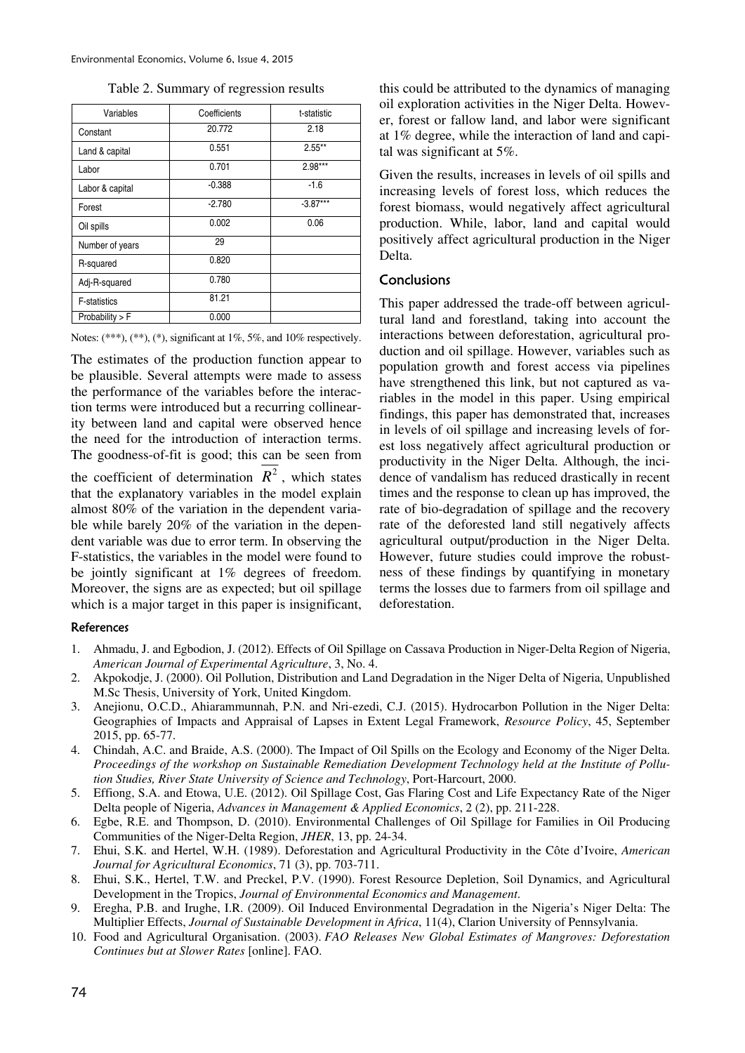| Variables           | Coefficients | t-statistic |  |
|---------------------|--------------|-------------|--|
| Constant            | 20.772       | 2.18        |  |
| Land & capital      | 0.551        | $2.55***$   |  |
| Labor               | 0.701        | $2.98***$   |  |
| Labor & capital     | $-0.388$     | $-1.6$      |  |
| Forest              | $-2.780$     | $-3.87***$  |  |
| Oil spills          | 0.002        | 0.06        |  |
| Number of years     | 29           |             |  |
| R-squared           | 0.820        |             |  |
| Adj-R-squared       | 0.780        |             |  |
| <b>F-statistics</b> | 81.21        |             |  |
| Probability $>$ F   | 0.000        |             |  |

|  | Notes: $(***), (**), (*),$ significant at $1\%, 5\%,$ and $10\%$ respectively. |  |  |
|--|--------------------------------------------------------------------------------|--|--|

The estimates of the production function appear to be plausible. Several attempts were made to assess the performance of the variables before the interaction terms were introduced but a recurring collinearity between land and capital were observed hence the need for the introduction of interaction terms. The goodness-of-fit is good; this can be seen from

the coefficient of determination  $R^2$ , which states that the explanatory variables in the model explain almost 80% of the variation in the dependent variable while barely 20% of the variation in the dependent variable was due to error term. In observing the F-statistics, the variables in the model were found to be jointly significant at 1% degrees of freedom. Moreover, the signs are as expected; but oil spillage which is a major target in this paper is insignificant, this could be attributed to the dynamics of managing oil exploration activities in the Niger Delta. However, forest or fallow land, and labor were significant at 1% degree, while the interaction of land and capital was significant at 5%.

Given the results, increases in levels of oil spills and increasing levels of forest loss, which reduces the forest biomass, would negatively affect agricultural production. While, labor, land and capital would positively affect agricultural production in the Niger Delta.

## Conclusions

This paper addressed the trade-off between agricultural land and forestland, taking into account the interactions between deforestation, agricultural production and oil spillage. However, variables such as population growth and forest access via pipelines have strengthened this link, but not captured as variables in the model in this paper. Using empirical findings, this paper has demonstrated that, increases in levels of oil spillage and increasing levels of forest loss negatively affect agricultural production or productivity in the Niger Delta. Although, the incidence of vandalism has reduced drastically in recent times and the response to clean up has improved, the rate of bio-degradation of spillage and the recovery rate of the deforested land still negatively affects agricultural output/production in the Niger Delta. However, future studies could improve the robustness of these findings by quantifying in monetary terms the losses due to farmers from oil spillage and deforestation.

#### References

- 1. Ahmadu, J. and Egbodion, J. (2012). Effects of Oil Spillage on Cassava Production in Niger-Delta Region of Nigeria, *American Journal of Experimental Agriculture*, 3, No. 4.
- 2. Akpokodje, J. (2000). Oil Pollution, Distribution and Land Degradation in the Niger Delta of Nigeria, Unpublished M.Sc Thesis, University of York, United Kingdom.
- 3. Anejionu, O.C.D., Ahiarammunnah, P.N. and Nri-ezedi, C.J. (2015). Hydrocarbon Pollution in the Niger Delta: Geographies of Impacts and Appraisal of Lapses in Extent Legal Framework, *Resource Policy*, 45, September 2015, pp. 65-77.
- 4. Chindah, A.C. and Braide, A.S. (2000). The Impact of Oil Spills on the Ecology and Economy of the Niger Delta. *Proceedings of the workshop on Sustainable Remediation Development Technology held at the Institute of Pollution Studies, River State University of Science and Technology*, Port-Harcourt, 2000.
- 5. Effiong, S.A. and Etowa, U.E. (2012). Oil Spillage Cost, Gas Flaring Cost and Life Expectancy Rate of the Niger Delta people of Nigeria, *Advances in Management & Applied Economics*, 2 (2), pp. 211-228.
- 6. Egbe, R.E. and Thompson, D. (2010). Environmental Challenges of Oil Spillage for Families in Oil Producing Communities of the Niger-Delta Region, *JHER*, 13, pp. 24-34.
- 7. Ehui, S.K. and Hertel, W.H. (1989). Deforestation and Agricultural Productivity in the Côte d'Ivoire, *American Journal for Agricultural Economics*, 71 (3), pp. 703-711.
- 8. Ehui, S.K., Hertel, T.W. and Preckel, P.V. (1990). Forest Resource Depletion, Soil Dynamics, and Agricultural Development in the Tropics, *Journal of Environmental Economics and Management*.
- 9. Eregha, P.B. and Irughe, I.R. (2009). Oil Induced Environmental Degradation in the Nigeria's Niger Delta: The Multiplier Effects, *Journal of Sustainable Development in Africa*, 11(4), Clarion University of Pennsylvania.
- 10. Food and Agricultural Organisation. (2003). *FAO Releases New Global Estimates of Mangroves: Deforestation Continues but at Slower Rates* [online]. FAO.